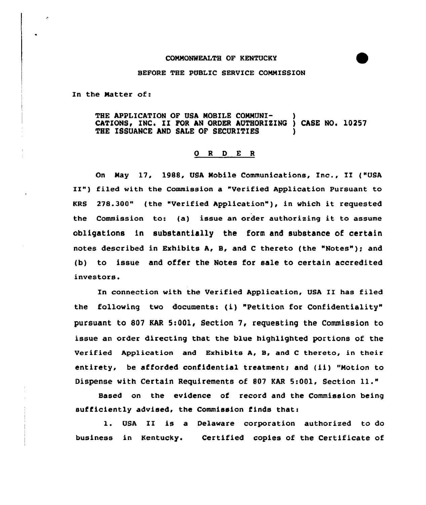## COMMONWEALTH OF KENTUCKY

## BEFORE THE PUBLIC SERVICE CONNISSION

In the Hatter of:

THE APPLICATION OF USA MOBILE COMMUNI-CATIONS, INC. II FOR AN ORDER AUTHORIZING ) CASE NO. 10257 THE ISSUANCE AND SALE OF SECURITIES

## 0 <sup>R</sup> <sup>D</sup> E <sup>R</sup>

On May 17, 1988, USA Mobile Communications, Inc., II ("USA II") filed with the Commission a "Verified Application Pursuant to KRS 278.300" (the "Verified Application" ), in which it requested the Commission to: (a) issue an order authorizing it to assume obligations in substantially the form and substance of certain notes described in Exhibits A, B, and <sup>C</sup> thereto (the "Notes" ); and (b) to issue and offer the Notes for sale to certain accredited investors.

In connection with the Verified Application, USA II has filed the following two documents: (i) "Petition for Confidentiality" pursuant to 807 KAR 5:001, Section 7, requesting the Commission to issue an order directing that the blue highlighted portions of the Verified Application and Exhibits A, B, and <sup>C</sup> thereto, in their entirety, be afforded confidential treatment; and (ii) "Motion to Dispense with Certain Requirements of <sup>807</sup> KAR 5:001, Section 11."

Based on the evidence of record and the Commission being sufficiently advised, the Commission finds that:

l. USA II is <sup>a</sup> Delaware corporation authorized to do business in Kentucky. Certified copies of the Certificate of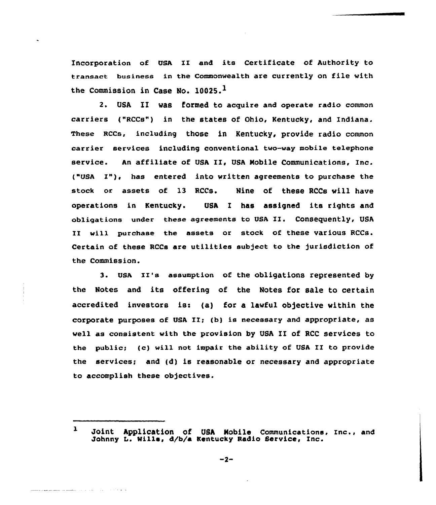incorporation of USA ZI and its Certificate of Authority to transact business in the Commonwealth are currently on file with the Commission in Case No.  $10025.$ <sup>1</sup>

2» USA II was formed to acquire and operate radio common carriers ("RCCs") in the states of Ohio, Kentucky, and Indiana. These Rccs, including those in Kentucky, provide radio common carrier services including conventional two-way mobile telephone service. An affiliate of USA II, USA Mobile Communications, Inc. ("USA I"), has entered into written agreements to purchase the stock or assets of l3 RCCs. Nine of these RCCs will have operations in Kentucky. USA I has assigned its rights and obligations under these agreements to USA XI. COnSeguently, USA II will purchase the assets or stock of these various RCCs. Certain of these RCCs are utilities subject to the jurisdiction of the Commission.

3. USA II's assumption Of the obligations represented by the Notes and its offering of the Notes for sale to certain accredited investors is: (a) for a lawful objective within the corporate purposes of USA II; (b) is necessary and appropriate, as well as consistent with the provision by USA II of RCC services to the public; (c) will not impair the ability of USA II to provide the services; and (d) is reasonable or necessary and appropriate to accomplish these objectives.

 $\mathbf{1}$ Joint Application of USh Mobile Communications, Inc., and Johnny L. Wills, 4/b/a Kentucky Radio Service, Inc.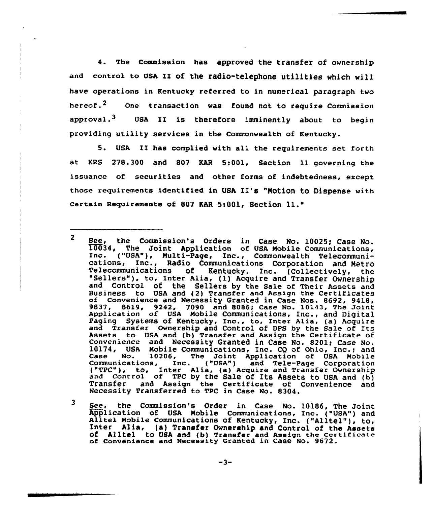4. The Commission has approved the transfer of ownership and contro1 to UsA II of the radio-telephone utilities which will have operations in Kentucky referred to in numerical paragraph two hereof.<sup>2</sup> One transaction was found not to require Commission approval.<sup>3</sup> USA II is therefore imminently about to begin providing utility services in the Commonwealth of Kentucky.

5. USA II has complied with all the requirements set forth at KRS 278.300 and 807 KAR 5:001, Section 11 governing the issuance of securities and other forms of indebtedness, except those requirements identified in USA II's "Motion to Dispense with certain Requirements of <sup>807</sup> KAR 5:001, Section 11."

 $\mathbf{3}$ See, the Commission's Order in Case No. 10186, The Joint<br>Application of USA Mobile Communications, Inc. ("USA") and<br>Alltel Mobile Communications of Kentucky, Inc. ("Alltel"), to,<br>Inter Alia, (a) Transfer Ownership and Cont of Convenience and Heceasity Granted in Case No. 9672.

 $\overline{2}$ See, the Commission's Orders in Case No. 10025; Case No. 10034, The Joint Application of USA Mobile Communications, Inc. ("USA"), Multi-Page, Inc., Commonwealth Telecommuni-<br>cations, Inc., Radio Communications Corporation and Metro<br>Telecommunications of Kentucky, Inc. (Collectively, the "Sellers"), to, Inter Alia, (1) Acquire and Transfer Ownership and Control of the Sellers by the Sale of Their Assets and Business to USA and (2) Transfer and Assign the Certificates<br>of Convenience and Necessity Granted in Case Nos. 8692, 9418,<br>9837, 8619, 9242, 7090 and 8086; Case No. 10143, The Joint 9837, 8619, 9242, 7090 and 8086; Case No. 10143, The Joint<br>Application of USA Mobile Communications, Inc., and Digital Paging Systems of Kentucky, Inc., to, Inter Alia, (a) Acquir raging Systems of Rentucky, Inc., to, Inter Alia, (a) Acquire<br>and Transfer Ownership and Control of DPS by the Sale of Its Assets to USA and {b) Transfer and Assign the Certificate of convenience and Necessity Granted in Case No. 820lt Case No. 10174, USA Mobile Communications, Inc. CQ of Ohio, Inc.; and Case No. 10206, The Joint Application of USA Mobile Communications, Inc. ("USA") and Tele-Page Corporation ("TPC"), to, Inter Alia, (a) Acquire and Transfer Ownershi and Control of TPC by the Sale of Its Assets to USA and (b) Transfer and Assign the Certificate of Convenience and Necessity Transferred to TPC in Case No. 8304.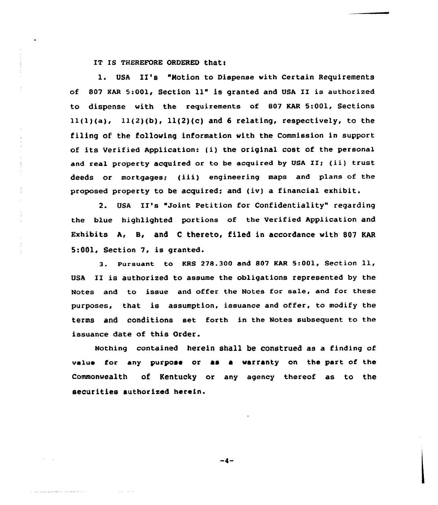IT IS THEREFORE ORDERED that:

1. USA II's "Motion to Dispense with Certain Requirements af <sup>807</sup> KAR 5:001, Section ll" is granted and VSA II is authorized to dispense with the requirements of 807 KAR 5:001, Sections  $11(1)(a)$ ,  $11(2)(b)$ ,  $11(2)(c)$  and 6 relating, respectively, to the filing of the following information with the Commission in support of its Verified Application: (i) the original cost of the persanal and real property acquired or to be acquired by USA II; (ii) trust deeds or mortgages; (iii) engineering maps and plans of the proposed property to be acquired; and (iv) a financial exhibit.

2. USA II's "Joint Petition for Confidentiality" regarding the blue highlighted portions of the Verified Application and Exhibits A, B, and <sup>C</sup> thereto, filed in accordance with 807 KAR 5:001, Section 7, is granted.

3. Porsuant to KRS 278.300 and <sup>807</sup> KAR 5:001, Section ll, USA II is authorized to assume the obligations represented by the Notes and to issue and offer the Notes for sale, and for these purposes, that is assumption, issuance and offer, to modify the terms and conditions set forth in the Notes subsequent to the issuance date of this Order.

Nothing contained herein shall be construed as a finding af value for any purpose or as a warranty on the part of the Commonwealth of Kentucky or any agency thereof as to the securities authorized herein.

 $-4-$